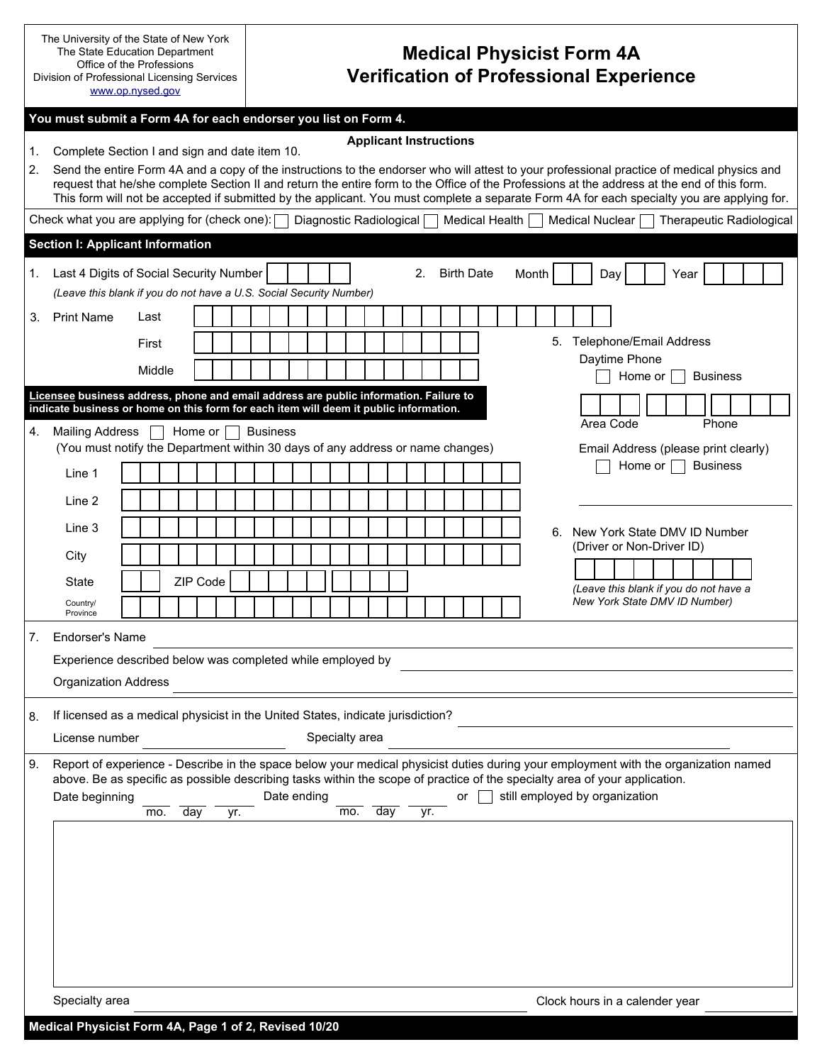|                                                                                                                                                        |                                                                                                                                                                                              | The University of the State of New York<br><b>Medical Physicist Form 4A</b><br>The State Education Department<br>Office of the Professions<br><b>Verification of Professional Experience</b><br>Division of Professional Licensing Services<br>www.op.nysed.gov   |  |  |  |  |  |  |
|--------------------------------------------------------------------------------------------------------------------------------------------------------|----------------------------------------------------------------------------------------------------------------------------------------------------------------------------------------------|-------------------------------------------------------------------------------------------------------------------------------------------------------------------------------------------------------------------------------------------------------------------|--|--|--|--|--|--|
| You must submit a Form 4A for each endorser you list on Form 4.                                                                                        |                                                                                                                                                                                              |                                                                                                                                                                                                                                                                   |  |  |  |  |  |  |
|                                                                                                                                                        | <b>Applicant Instructions</b>                                                                                                                                                                |                                                                                                                                                                                                                                                                   |  |  |  |  |  |  |
| 1.<br>2.                                                                                                                                               | Complete Section I and sign and date item 10.<br>Send the entire Form 4A and a copy of the instructions to the endorser who will attest to your professional practice of medical physics and |                                                                                                                                                                                                                                                                   |  |  |  |  |  |  |
|                                                                                                                                                        | request that he/she complete Section II and return the entire form to the Office of the Professions at the address at the end of this form.                                                  |                                                                                                                                                                                                                                                                   |  |  |  |  |  |  |
|                                                                                                                                                        | This form will not be accepted if submitted by the applicant. You must complete a separate Form 4A for each specialty you are applying for.                                                  |                                                                                                                                                                                                                                                                   |  |  |  |  |  |  |
| Check what you are applying for (check one): $\Box$ Diagnostic Radiological $\Box$ Medical Health $\Box$<br>Medical Nuclear   Therapeutic Radiological |                                                                                                                                                                                              |                                                                                                                                                                                                                                                                   |  |  |  |  |  |  |
|                                                                                                                                                        | <b>Section I: Applicant Information</b>                                                                                                                                                      |                                                                                                                                                                                                                                                                   |  |  |  |  |  |  |
| 1.                                                                                                                                                     | Last 4 Digits of Social Security Number<br>2. Birth Date<br>Month<br>Day<br>Year                                                                                                             |                                                                                                                                                                                                                                                                   |  |  |  |  |  |  |
|                                                                                                                                                        |                                                                                                                                                                                              | (Leave this blank if you do not have a U.S. Social Security Number)                                                                                                                                                                                               |  |  |  |  |  |  |
| 3.                                                                                                                                                     | <b>Print Name</b>                                                                                                                                                                            | Last                                                                                                                                                                                                                                                              |  |  |  |  |  |  |
|                                                                                                                                                        |                                                                                                                                                                                              | 5. Telephone/Email Address<br>First<br>Daytime Phone                                                                                                                                                                                                              |  |  |  |  |  |  |
|                                                                                                                                                        |                                                                                                                                                                                              | Middle<br><b>Business</b><br>Home or                                                                                                                                                                                                                              |  |  |  |  |  |  |
|                                                                                                                                                        |                                                                                                                                                                                              | Licensee business address, phone and email address are public information. Failure to<br>indicate business or home on this form for each item will deem it public information.                                                                                    |  |  |  |  |  |  |
| 4.                                                                                                                                                     | Mailing Address                                                                                                                                                                              | Area Code<br>Phone<br>Home or $\vert \ \vert$<br><b>Business</b>                                                                                                                                                                                                  |  |  |  |  |  |  |
|                                                                                                                                                        |                                                                                                                                                                                              | (You must notify the Department within 30 days of any address or name changes)<br>Email Address (please print clearly)                                                                                                                                            |  |  |  |  |  |  |
|                                                                                                                                                        | Line 1                                                                                                                                                                                       | <b>Business</b><br>Home or $\vert \ \vert$                                                                                                                                                                                                                        |  |  |  |  |  |  |
|                                                                                                                                                        | Line 2                                                                                                                                                                                       |                                                                                                                                                                                                                                                                   |  |  |  |  |  |  |
|                                                                                                                                                        |                                                                                                                                                                                              |                                                                                                                                                                                                                                                                   |  |  |  |  |  |  |
|                                                                                                                                                        | Line 3                                                                                                                                                                                       | 6. New York State DMV ID Number<br>(Driver or Non-Driver ID)                                                                                                                                                                                                      |  |  |  |  |  |  |
|                                                                                                                                                        | City                                                                                                                                                                                         |                                                                                                                                                                                                                                                                   |  |  |  |  |  |  |
|                                                                                                                                                        | State                                                                                                                                                                                        | ZIP Code<br>(Leave this blank if you do not have a                                                                                                                                                                                                                |  |  |  |  |  |  |
|                                                                                                                                                        | Country/<br>Province                                                                                                                                                                         | New York State DMV ID Number)                                                                                                                                                                                                                                     |  |  |  |  |  |  |
| 7.                                                                                                                                                     | <b>Endorser's Name</b>                                                                                                                                                                       |                                                                                                                                                                                                                                                                   |  |  |  |  |  |  |
|                                                                                                                                                        |                                                                                                                                                                                              | Experience described below was completed while employed by                                                                                                                                                                                                        |  |  |  |  |  |  |
|                                                                                                                                                        | <b>Organization Address</b>                                                                                                                                                                  |                                                                                                                                                                                                                                                                   |  |  |  |  |  |  |
|                                                                                                                                                        |                                                                                                                                                                                              |                                                                                                                                                                                                                                                                   |  |  |  |  |  |  |
| 8.                                                                                                                                                     |                                                                                                                                                                                              | If licensed as a medical physicist in the United States, indicate jurisdiction?                                                                                                                                                                                   |  |  |  |  |  |  |
|                                                                                                                                                        | License number                                                                                                                                                                               | Specialty area                                                                                                                                                                                                                                                    |  |  |  |  |  |  |
| 9.                                                                                                                                                     |                                                                                                                                                                                              | Report of experience - Describe in the space below your medical physicist duties during your employment with the organization named<br>above. Be as specific as possible describing tasks within the scope of practice of the specialty area of your application. |  |  |  |  |  |  |
|                                                                                                                                                        | Date beginning                                                                                                                                                                               | still employed by organization<br>Date ending<br>or                                                                                                                                                                                                               |  |  |  |  |  |  |
|                                                                                                                                                        | mo.<br>day<br>day<br>mo.<br>yr.<br>yr.                                                                                                                                                       |                                                                                                                                                                                                                                                                   |  |  |  |  |  |  |
|                                                                                                                                                        |                                                                                                                                                                                              |                                                                                                                                                                                                                                                                   |  |  |  |  |  |  |
|                                                                                                                                                        |                                                                                                                                                                                              |                                                                                                                                                                                                                                                                   |  |  |  |  |  |  |
|                                                                                                                                                        |                                                                                                                                                                                              |                                                                                                                                                                                                                                                                   |  |  |  |  |  |  |
|                                                                                                                                                        |                                                                                                                                                                                              |                                                                                                                                                                                                                                                                   |  |  |  |  |  |  |
|                                                                                                                                                        |                                                                                                                                                                                              |                                                                                                                                                                                                                                                                   |  |  |  |  |  |  |
|                                                                                                                                                        |                                                                                                                                                                                              |                                                                                                                                                                                                                                                                   |  |  |  |  |  |  |
|                                                                                                                                                        |                                                                                                                                                                                              |                                                                                                                                                                                                                                                                   |  |  |  |  |  |  |
|                                                                                                                                                        | Specialty area<br>Clock hours in a calender year                                                                                                                                             |                                                                                                                                                                                                                                                                   |  |  |  |  |  |  |
|                                                                                                                                                        | Medical Physicist Form 4A, Page 1 of 2, Revised 10/20                                                                                                                                        |                                                                                                                                                                                                                                                                   |  |  |  |  |  |  |